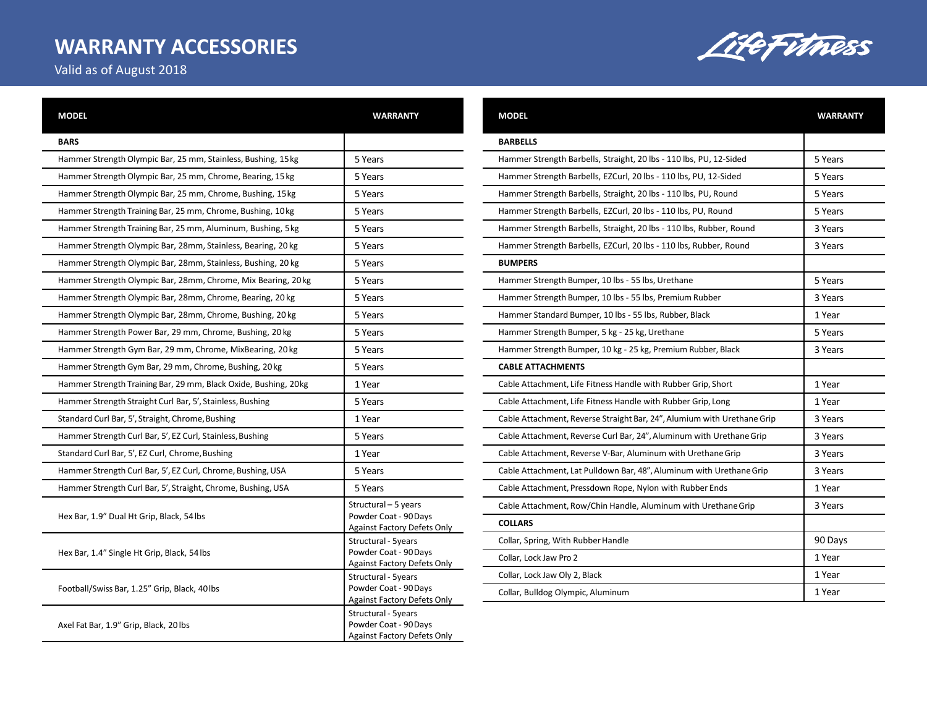## **WARRANTY ACCESSORIES**

LifeFitness

Valid as of August 2018

| <b>MODEL</b>                                                    | <b>WARRANTY</b>                                                                    |
|-----------------------------------------------------------------|------------------------------------------------------------------------------------|
| <b>BARS</b>                                                     |                                                                                    |
| Hammer Strength Olympic Bar, 25 mm, Stainless, Bushing, 15 kg   | 5 Years                                                                            |
| Hammer Strength Olympic Bar, 25 mm, Chrome, Bearing, 15 kg      | 5 Years                                                                            |
| Hammer Strength Olympic Bar, 25 mm, Chrome, Bushing, 15 kg      | 5 Years                                                                            |
| Hammer Strength Training Bar, 25 mm, Chrome, Bushing, 10kg      | 5 Years                                                                            |
| Hammer Strength Training Bar, 25 mm, Aluminum, Bushing, 5 kg    | 5 Years                                                                            |
| Hammer Strength Olympic Bar, 28mm, Stainless, Bearing, 20 kg    | 5 Years                                                                            |
| Hammer Strength Olympic Bar, 28mm, Stainless, Bushing, 20 kg    | 5 Years                                                                            |
| Hammer Strength Olympic Bar, 28mm, Chrome, Mix Bearing, 20 kg   | 5 Years                                                                            |
| Hammer Strength Olympic Bar, 28mm, Chrome, Bearing, 20 kg       | 5 Years                                                                            |
| Hammer Strength Olympic Bar, 28mm, Chrome, Bushing, 20 kg       | 5 Years                                                                            |
| Hammer Strength Power Bar, 29 mm, Chrome, Bushing, 20 kg        | 5 Years                                                                            |
| Hammer Strength Gym Bar, 29 mm, Chrome, MixBearing, 20 kg       | 5 Years                                                                            |
| Hammer Strength Gym Bar, 29 mm, Chrome, Bushing, 20 kg          | 5 Years                                                                            |
| Hammer Strength Training Bar, 29 mm, Black Oxide, Bushing, 20kg | 1 Year                                                                             |
| Hammer Strength Straight Curl Bar, 5', Stainless, Bushing       | 5 Years                                                                            |
| Standard Curl Bar, 5', Straight, Chrome, Bushing                | 1 Year                                                                             |
| Hammer Strength Curl Bar, 5', EZ Curl, Stainless, Bushing       | 5 Years                                                                            |
| Standard Curl Bar, 5', EZ Curl, Chrome, Bushing                 | 1 Year                                                                             |
| Hammer Strength Curl Bar, 5', EZ Curl, Chrome, Bushing, USA     | 5 Years                                                                            |
| Hammer Strength Curl Bar, 5', Straight, Chrome, Bushing, USA    | 5 Years                                                                            |
| Hex Bar, 1.9" Dual Ht Grip, Black, 54lbs                        | Structural - 5 years<br>Powder Coat - 90 Days<br>Against Factory Defets Only       |
| Hex Bar, 1.4" Single Ht Grip, Black, 54 lbs                     | Structural - 5years<br>Powder Coat - 90 Days<br><b>Against Factory Defets Only</b> |
| Football/Swiss Bar, 1.25" Grip, Black, 40 lbs                   | Structural - 5years<br>Powder Coat - 90 Days<br><b>Against Factory Defets Only</b> |
| Axel Fat Bar, 1.9" Grip, Black, 20 lbs                          | Structural - 5years<br>Powder Coat - 90 Days<br><b>Against Factory Defets Only</b> |
|                                                                 |                                                                                    |

| <b>MODEL</b>                                                            | <b>WARRANTY</b> |
|-------------------------------------------------------------------------|-----------------|
| <b>BARBELLS</b>                                                         |                 |
| Hammer Strength Barbells, Straight, 20 lbs - 110 lbs, PU, 12-Sided      | 5 Years         |
| Hammer Strength Barbells, EZCurl, 20 lbs - 110 lbs, PU, 12-Sided        | 5 Years         |
| Hammer Strength Barbells, Straight, 20 lbs - 110 lbs, PU, Round         | 5 Years         |
| Hammer Strength Barbells, EZCurl, 20 lbs - 110 lbs, PU, Round           | 5 Years         |
| Hammer Strength Barbells, Straight, 20 lbs - 110 lbs, Rubber, Round     | 3 Years         |
| Hammer Strength Barbells, EZCurl, 20 lbs - 110 lbs, Rubber, Round       | 3 Years         |
| <b>BUMPERS</b>                                                          |                 |
| Hammer Strength Bumper, 10 lbs - 55 lbs, Urethane                       | 5 Years         |
| Hammer Strength Bumper, 10 lbs - 55 lbs, Premium Rubber                 | 3 Years         |
| Hammer Standard Bumper, 10 lbs - 55 lbs, Rubber, Black                  | 1 Year          |
| Hammer Strength Bumper, 5 kg - 25 kg, Urethane                          | 5 Years         |
| Hammer Strength Bumper, 10 kg - 25 kg, Premium Rubber, Black            | 3 Years         |
| <b>CABLE ATTACHMENTS</b>                                                |                 |
| Cable Attachment, Life Fitness Handle with Rubber Grip, Short           | 1 Year          |
| Cable Attachment, Life Fitness Handle with Rubber Grip, Long            | 1 Year          |
| Cable Attachment, Reverse Straight Bar, 24", Alumium with Urethane Grip | 3 Years         |
| Cable Attachment, Reverse Curl Bar, 24", Aluminum with Urethane Grip    | 3 Years         |
| Cable Attachment, Reverse V-Bar, Aluminum with Urethane Grip            | 3 Years         |
| Cable Attachment, Lat Pulldown Bar, 48", Aluminum with Urethane Grip    | 3 Years         |
| Cable Attachment, Pressdown Rope, Nylon with Rubber Ends                | 1 Year          |
| Cable Attachment, Row/Chin Handle, Aluminum with Urethane Grip          | 3 Years         |
| <b>COLLARS</b>                                                          |                 |
| Collar, Spring, With Rubber Handle                                      | 90 Days         |
| Collar, Lock Jaw Pro 2                                                  | 1 Year          |
| Collar, Lock Jaw Oly 2, Black                                           | 1 Year          |
| Collar, Bulldog Olympic, Aluminum                                       | 1 Year          |